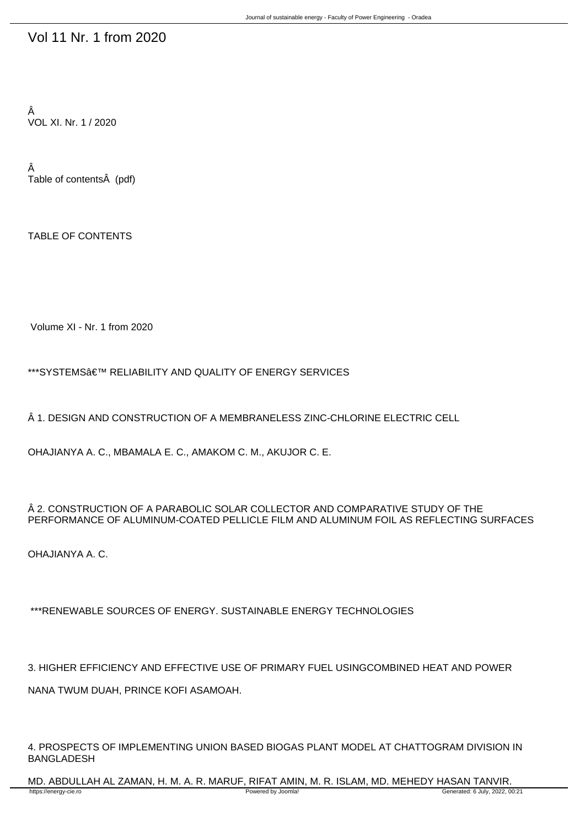## Vol 11 Nr. 1 from 2020

Â VOL XI. Nr. 1 / 2020

Â Table of contents (pdf)

TABLE OF CONTENTS

Volume XI - Nr. 1 from 2020

\*\*\*SYSTEMS' RELIABILITY AND QUALITY OF ENERGY SERVICES

 $\hat{A}$  1. DESIGN AND CONSTRUCTION OF A MEMBRANELESS ZINC-CHLORINE ELECTRIC CELL

OHAJIANYA A. C., MBAMALA E. C., AMAKOM C. M., AKUJOR C. E.

 $\hat{A}$  2. CONSTRUCTION OF A PARABOLIC SOLAR COLLECTOR AND COMPARATIVE STUDY OF THE PERFORMANCE OF ALUMINUM-COATED PELLICLE FILM AND ALUMINUM FOIL AS REFLECTING SURFACES

OHAJIANYA A. C.

\*\*\*RENEWABLE SOURCES OF ENERGY. SUSTAINABLE ENERGY TECHNOLOGIES

3. HIGHER EFFICIENCY AND EFFECTIVE USE OF PRIMARY FUEL USINGCOMBINED HEAT AND POWER NANA TWUM DUAH, PRINCE KOFI ASAMOAH.

4. PROSPECTS OF IMPLEMENTING UNION BASED BIOGAS PLANT MODEL AT CHATTOGRAM DIVISION IN BANGLADESH

MD. ABDULLAH AL ZAMAN, H. M. A. R. MARUF, RIFAT AMIN, M. R. ISLAM, MD. MEHEDY HASAN TANVIR.<br>Towered by Joomlal Thttps://energy-cie.ro Generated: 6 July, 2022, 0 Generated: 6 July, 2022, 00:21